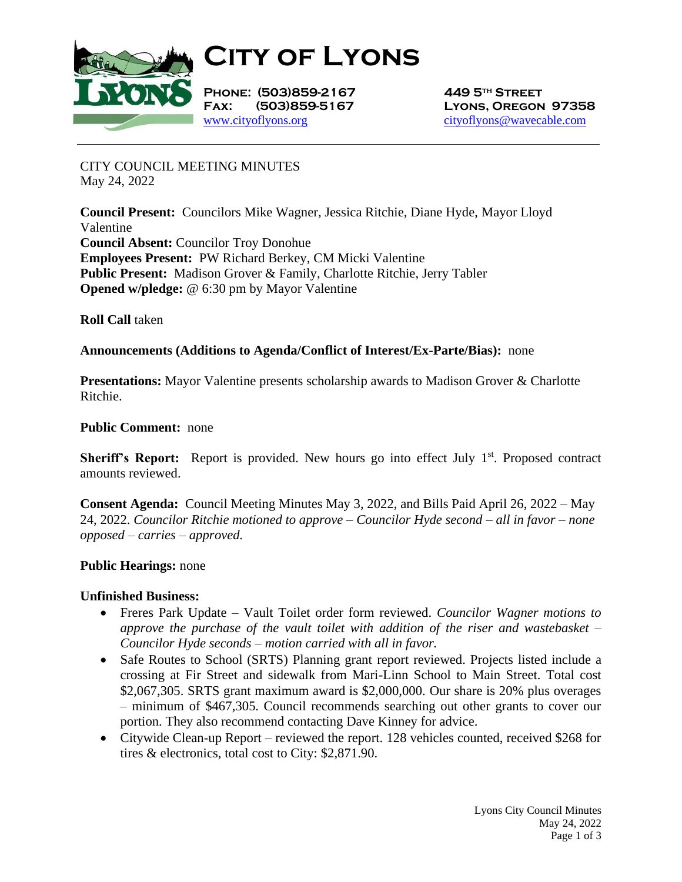

**City of Lyons**

**Phone: (503)859-2167 449 5th Street** [www.cityoflyons.org](http://www.cityoflyons.org/) [cityoflyons@wavecable.com](mailto:cityoflyons@wavecable.com)

**Fax: (503)859-5167 Lyons, Oregon 97358**

CITY COUNCIL MEETING MINUTES May 24, 2022

**Council Present:** Councilors Mike Wagner, Jessica Ritchie, Diane Hyde, Mayor Lloyd Valentine **Council Absent:** Councilor Troy Donohue **Employees Present:** PW Richard Berkey, CM Micki Valentine **Public Present:** Madison Grover & Family, Charlotte Ritchie, Jerry Tabler **Opened w/pledge:** @ 6:30 pm by Mayor Valentine

**Roll Call** taken

## **Announcements (Additions to Agenda/Conflict of Interest/Ex-Parte/Bias):** none

**Presentations:** Mayor Valentine presents scholarship awards to Madison Grover & Charlotte Ritchie.

### **Public Comment:** none

Sheriff's Report: Report is provided. New hours go into effect July 1<sup>st</sup>. Proposed contract amounts reviewed.

**Consent Agenda:** Council Meeting Minutes May 3, 2022, and Bills Paid April 26, 2022 – May 24, 2022. *Councilor Ritchie motioned to approve – Councilor Hyde second – all in favor – none opposed – carries – approved.* 

### **Public Hearings:** none

### **Unfinished Business:**

- Freres Park Update Vault Toilet order form reviewed. *Councilor Wagner motions to approve the purchase of the vault toilet with addition of the riser and wastebasket – Councilor Hyde seconds – motion carried with all in favor.*
- Safe Routes to School (SRTS) Planning grant report reviewed. Projects listed include a crossing at Fir Street and sidewalk from Mari-Linn School to Main Street. Total cost \$2,067,305. SRTS grant maximum award is \$2,000,000. Our share is 20% plus overages – minimum of \$467,305. Council recommends searching out other grants to cover our portion. They also recommend contacting Dave Kinney for advice.
- Citywide Clean-up Report reviewed the report. 128 vehicles counted, received \$268 for tires & electronics, total cost to City: \$2,871.90.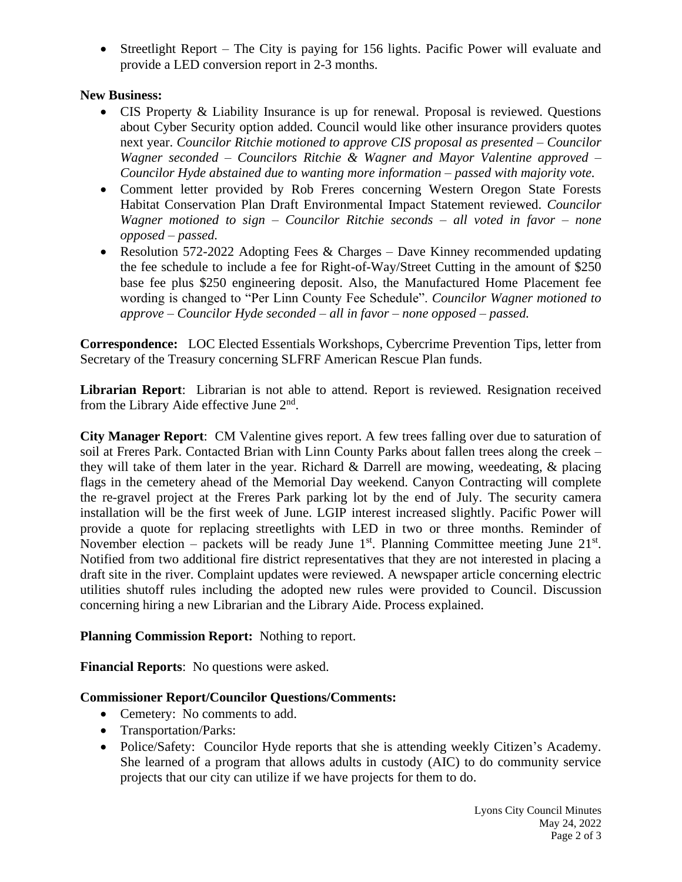• Streetlight Report – The City is paying for 156 lights. Pacific Power will evaluate and provide a LED conversion report in 2-3 months.

# **New Business:**

- CIS Property & Liability Insurance is up for renewal. Proposal is reviewed. Questions about Cyber Security option added. Council would like other insurance providers quotes next year. *Councilor Ritchie motioned to approve CIS proposal as presented – Councilor Wagner seconded – Councilors Ritchie & Wagner and Mayor Valentine approved – Councilor Hyde abstained due to wanting more information – passed with majority vote.*
- Comment letter provided by Rob Freres concerning Western Oregon State Forests Habitat Conservation Plan Draft Environmental Impact Statement reviewed. *Councilor Wagner motioned to sign – Councilor Ritchie seconds – all voted in favor – none opposed – passed.*
- Resolution 572-2022 Adopting Fees  $&$  Charges Dave Kinney recommended updating the fee schedule to include a fee for Right-of-Way/Street Cutting in the amount of \$250 base fee plus \$250 engineering deposit. Also, the Manufactured Home Placement fee wording is changed to "Per Linn County Fee Schedule". *Councilor Wagner motioned to approve – Councilor Hyde seconded – all in favor – none opposed – passed.*

**Correspondence:** LOC Elected Essentials Workshops, Cybercrime Prevention Tips, letter from Secretary of the Treasury concerning SLFRF American Rescue Plan funds.

**Librarian Report**: Librarian is not able to attend. Report is reviewed. Resignation received from the Library Aide effective June 2<sup>nd</sup>.

**City Manager Report**: CM Valentine gives report. A few trees falling over due to saturation of soil at Freres Park. Contacted Brian with Linn County Parks about fallen trees along the creek – they will take of them later in the year. Richard & Darrell are mowing, weedeating, & placing flags in the cemetery ahead of the Memorial Day weekend. Canyon Contracting will complete the re-gravel project at the Freres Park parking lot by the end of July. The security camera installation will be the first week of June. LGIP interest increased slightly. Pacific Power will provide a quote for replacing streetlights with LED in two or three months. Reminder of November election – packets will be ready June  $1<sup>st</sup>$ . Planning Committee meeting June  $21<sup>st</sup>$ . Notified from two additional fire district representatives that they are not interested in placing a draft site in the river. Complaint updates were reviewed. A newspaper article concerning electric utilities shutoff rules including the adopted new rules were provided to Council. Discussion concerning hiring a new Librarian and the Library Aide. Process explained.

## **Planning Commission Report:** Nothing to report.

**Financial Reports**: No questions were asked.

## **Commissioner Report/Councilor Questions/Comments:**

- Cemetery: No comments to add.
- Transportation/Parks:
- Police/Safety: Councilor Hyde reports that she is attending weekly Citizen's Academy. She learned of a program that allows adults in custody (AIC) to do community service projects that our city can utilize if we have projects for them to do.